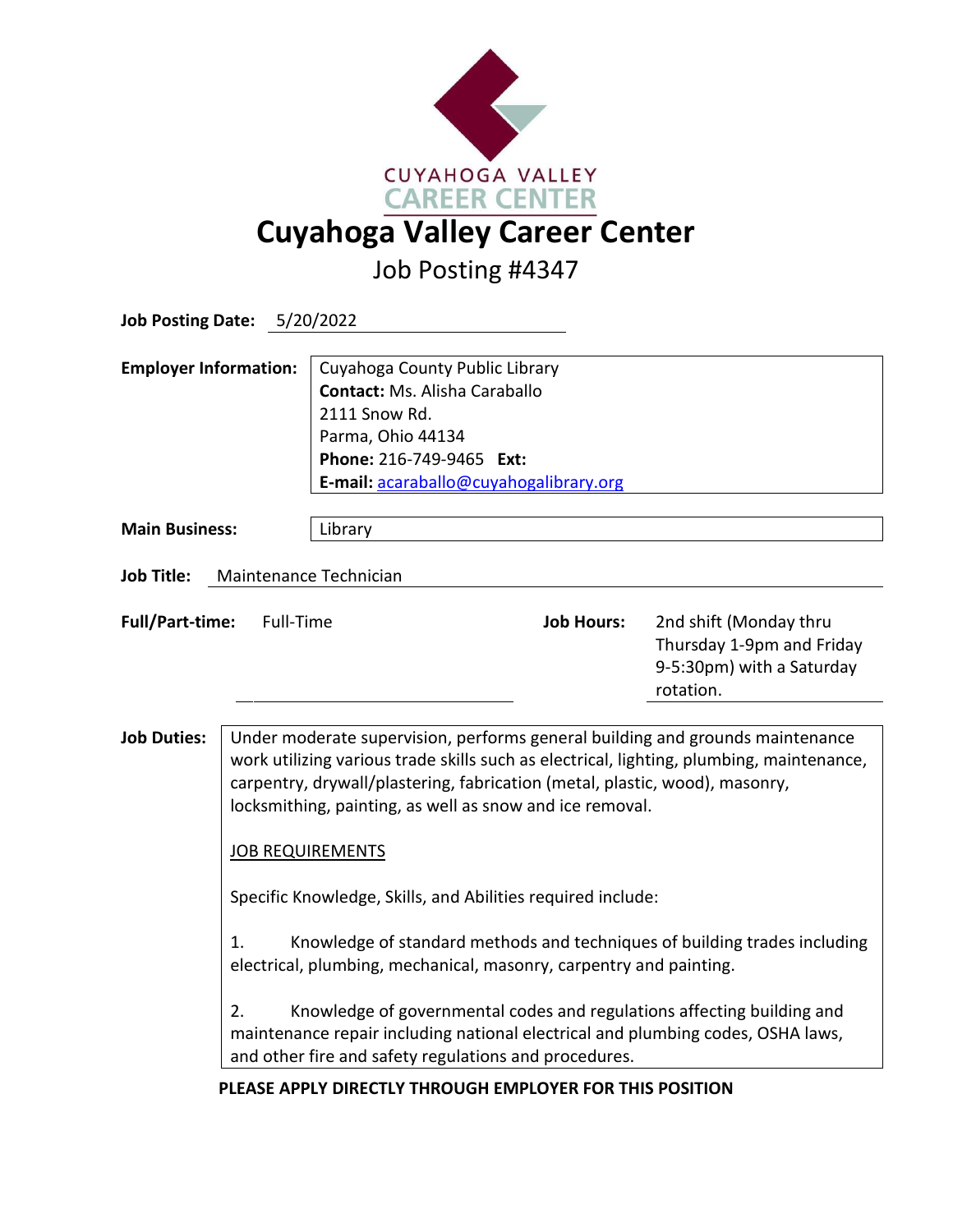

Job Posting #4347

| Job Posting Date: 5/20/2022                 |                                                                                                                                                                                                                                                                                                                                                                                                                                                                                                                                                                                                                                                                                                                                                                                                     |                                                                                                                                                                                    |                   |                                                                                               |
|---------------------------------------------|-----------------------------------------------------------------------------------------------------------------------------------------------------------------------------------------------------------------------------------------------------------------------------------------------------------------------------------------------------------------------------------------------------------------------------------------------------------------------------------------------------------------------------------------------------------------------------------------------------------------------------------------------------------------------------------------------------------------------------------------------------------------------------------------------------|------------------------------------------------------------------------------------------------------------------------------------------------------------------------------------|-------------------|-----------------------------------------------------------------------------------------------|
| <b>Employer Information:</b>                |                                                                                                                                                                                                                                                                                                                                                                                                                                                                                                                                                                                                                                                                                                                                                                                                     | Cuyahoga County Public Library<br><b>Contact: Ms. Alisha Caraballo</b><br>2111 Snow Rd.<br>Parma, Ohio 44134<br>Phone: 216-749-9465 Ext:<br>E-mail: acaraballo@cuyahogalibrary.org |                   |                                                                                               |
| <b>Main Business:</b>                       |                                                                                                                                                                                                                                                                                                                                                                                                                                                                                                                                                                                                                                                                                                                                                                                                     | Library                                                                                                                                                                            |                   |                                                                                               |
| <b>Job Title:</b><br>Maintenance Technician |                                                                                                                                                                                                                                                                                                                                                                                                                                                                                                                                                                                                                                                                                                                                                                                                     |                                                                                                                                                                                    |                   |                                                                                               |
| <b>Full/Part-time:</b><br>Full-Time         |                                                                                                                                                                                                                                                                                                                                                                                                                                                                                                                                                                                                                                                                                                                                                                                                     |                                                                                                                                                                                    | <b>Job Hours:</b> | 2nd shift (Monday thru<br>Thursday 1-9pm and Friday<br>9-5:30pm) with a Saturday<br>rotation. |
| <b>Job Duties:</b>                          | Under moderate supervision, performs general building and grounds maintenance<br>work utilizing various trade skills such as electrical, lighting, plumbing, maintenance,<br>carpentry, drywall/plastering, fabrication (metal, plastic, wood), masonry,<br>locksmithing, painting, as well as snow and ice removal.<br><b>JOB REQUIREMENTS</b><br>Specific Knowledge, Skills, and Abilities required include:<br>Knowledge of standard methods and techniques of building trades including<br>1.<br>electrical, plumbing, mechanical, masonry, carpentry and painting.<br>2.<br>Knowledge of governmental codes and regulations affecting building and<br>maintenance repair including national electrical and plumbing codes, OSHA laws,<br>and other fire and safety regulations and procedures. |                                                                                                                                                                                    |                   |                                                                                               |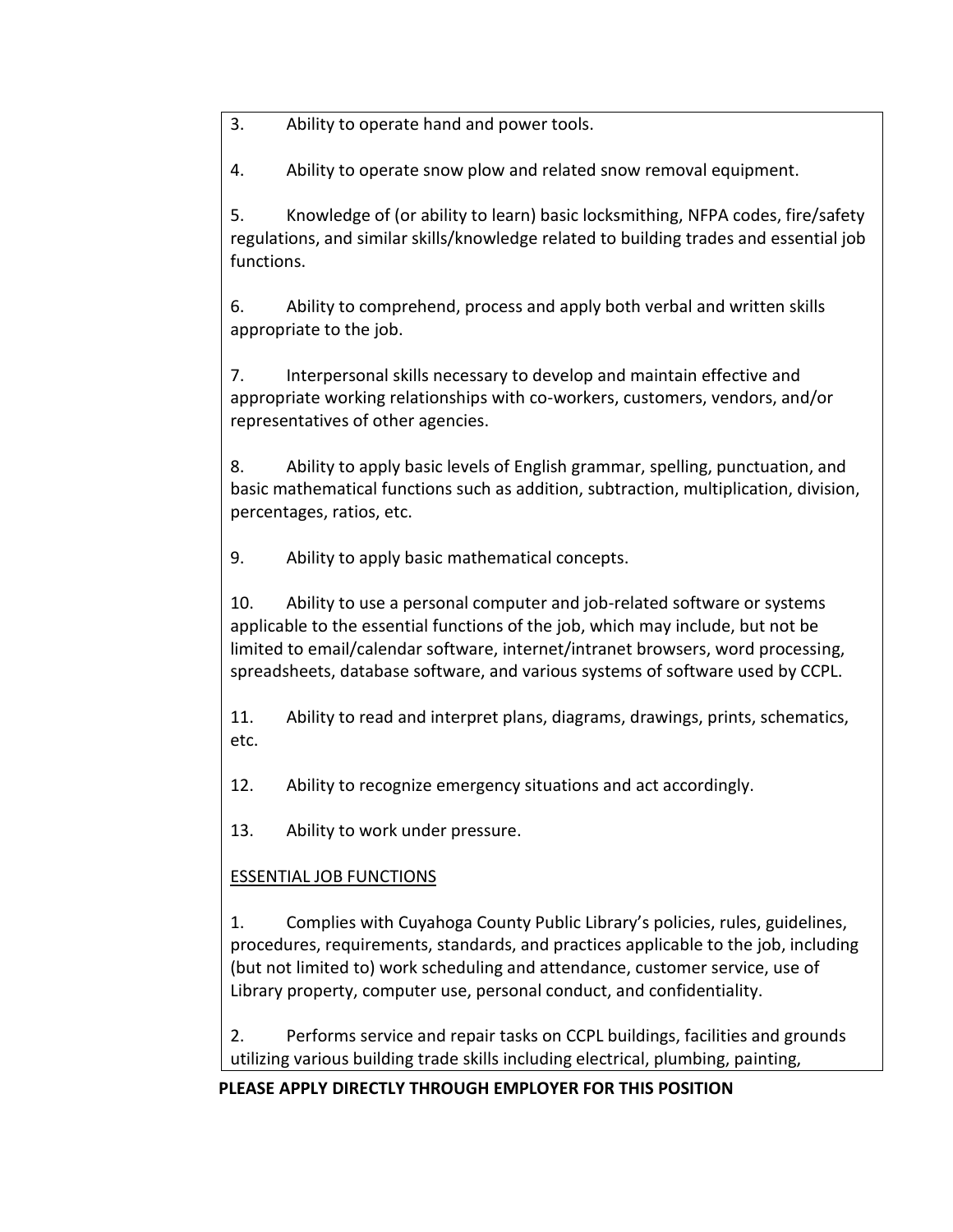3. Ability to operate hand and power tools.

4. Ability to operate snow plow and related snow removal equipment.

5. Knowledge of (or ability to learn) basic locksmithing, NFPA codes, fire/safety regulations, and similar skills/knowledge related to building trades and essential job functions.

6. Ability to comprehend, process and apply both verbal and written skills appropriate to the job.

7. Interpersonal skills necessary to develop and maintain effective and appropriate working relationships with co-workers, customers, vendors, and/or representatives of other agencies.

8. Ability to apply basic levels of English grammar, spelling, punctuation, and basic mathematical functions such as addition, subtraction, multiplication, division, percentages, ratios, etc.

9. Ability to apply basic mathematical concepts.

10. Ability to use a personal computer and job-related software or systems applicable to the essential functions of the job, which may include, but not be limited to email/calendar software, internet/intranet browsers, word processing, spreadsheets, database software, and various systems of software used by CCPL.

11. Ability to read and interpret plans, diagrams, drawings, prints, schematics, etc.

12. Ability to recognize emergency situations and act accordingly.

13. Ability to work under pressure.

# ESSENTIAL JOB FUNCTIONS

1. Complies with Cuyahoga County Public Library's policies, rules, guidelines, procedures, requirements, standards, and practices applicable to the job, including (but not limited to) work scheduling and attendance, customer service, use of Library property, computer use, personal conduct, and confidentiality.

2. Performs service and repair tasks on CCPL buildings, facilities and grounds utilizing various building trade skills including electrical, plumbing, painting,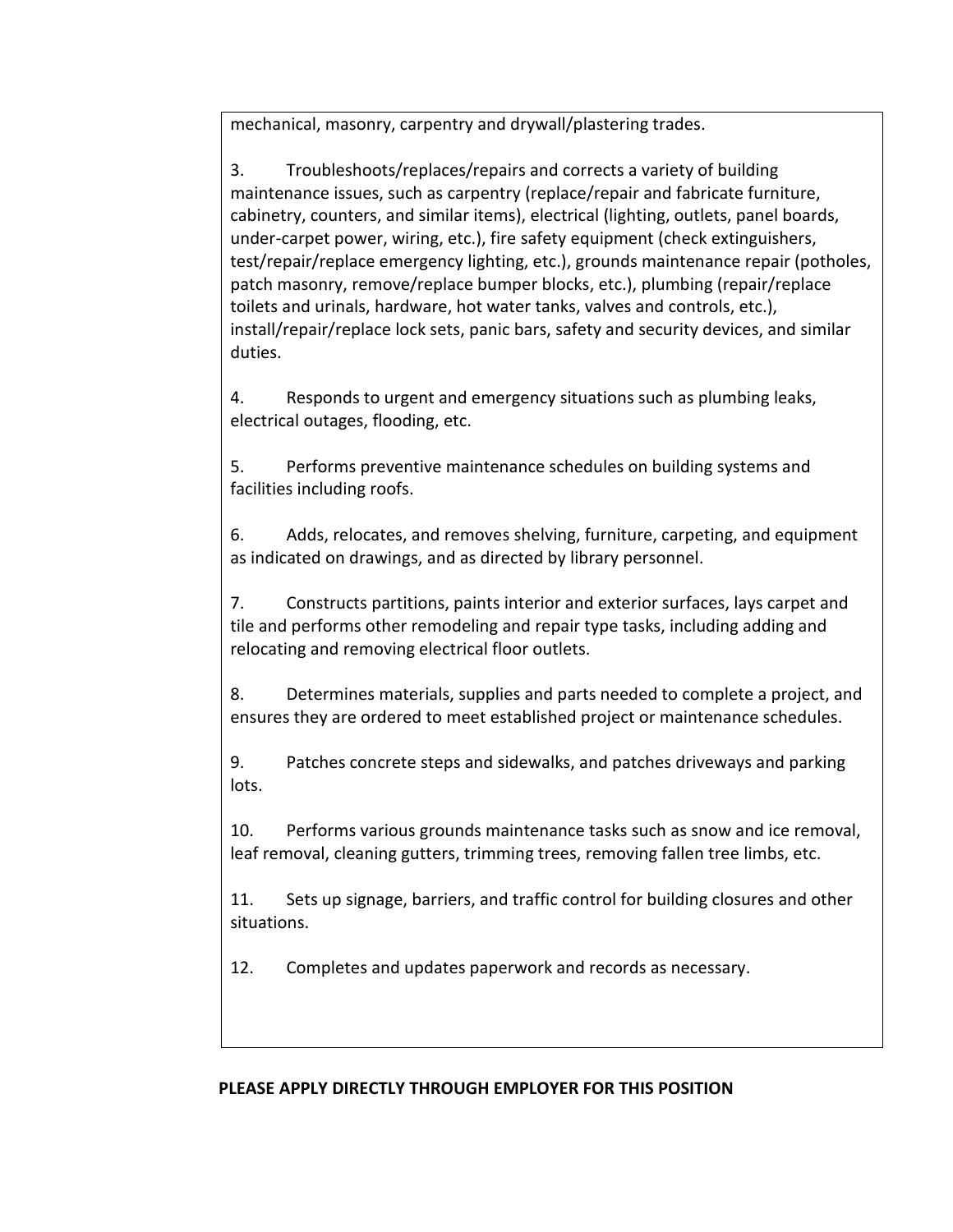mechanical, masonry, carpentry and drywall/plastering trades.

3. Troubleshoots/replaces/repairs and corrects a variety of building maintenance issues, such as carpentry (replace/repair and fabricate furniture, cabinetry, counters, and similar items), electrical (lighting, outlets, panel boards, under-carpet power, wiring, etc.), fire safety equipment (check extinguishers, test/repair/replace emergency lighting, etc.), grounds maintenance repair (potholes, patch masonry, remove/replace bumper blocks, etc.), plumbing (repair/replace toilets and urinals, hardware, hot water tanks, valves and controls, etc.), install/repair/replace lock sets, panic bars, safety and security devices, and similar duties.

4. Responds to urgent and emergency situations such as plumbing leaks, electrical outages, flooding, etc.

5. Performs preventive maintenance schedules on building systems and facilities including roofs.

6. Adds, relocates, and removes shelving, furniture, carpeting, and equipment as indicated on drawings, and as directed by library personnel.

7. Constructs partitions, paints interior and exterior surfaces, lays carpet and tile and performs other remodeling and repair type tasks, including adding and relocating and removing electrical floor outlets.

8. Determines materials, supplies and parts needed to complete a project, and ensures they are ordered to meet established project or maintenance schedules.

9. Patches concrete steps and sidewalks, and patches driveways and parking lots.

10. Performs various grounds maintenance tasks such as snow and ice removal, leaf removal, cleaning gutters, trimming trees, removing fallen tree limbs, etc.

11. Sets up signage, barriers, and traffic control for building closures and other situations.

12. Completes and updates paperwork and records as necessary.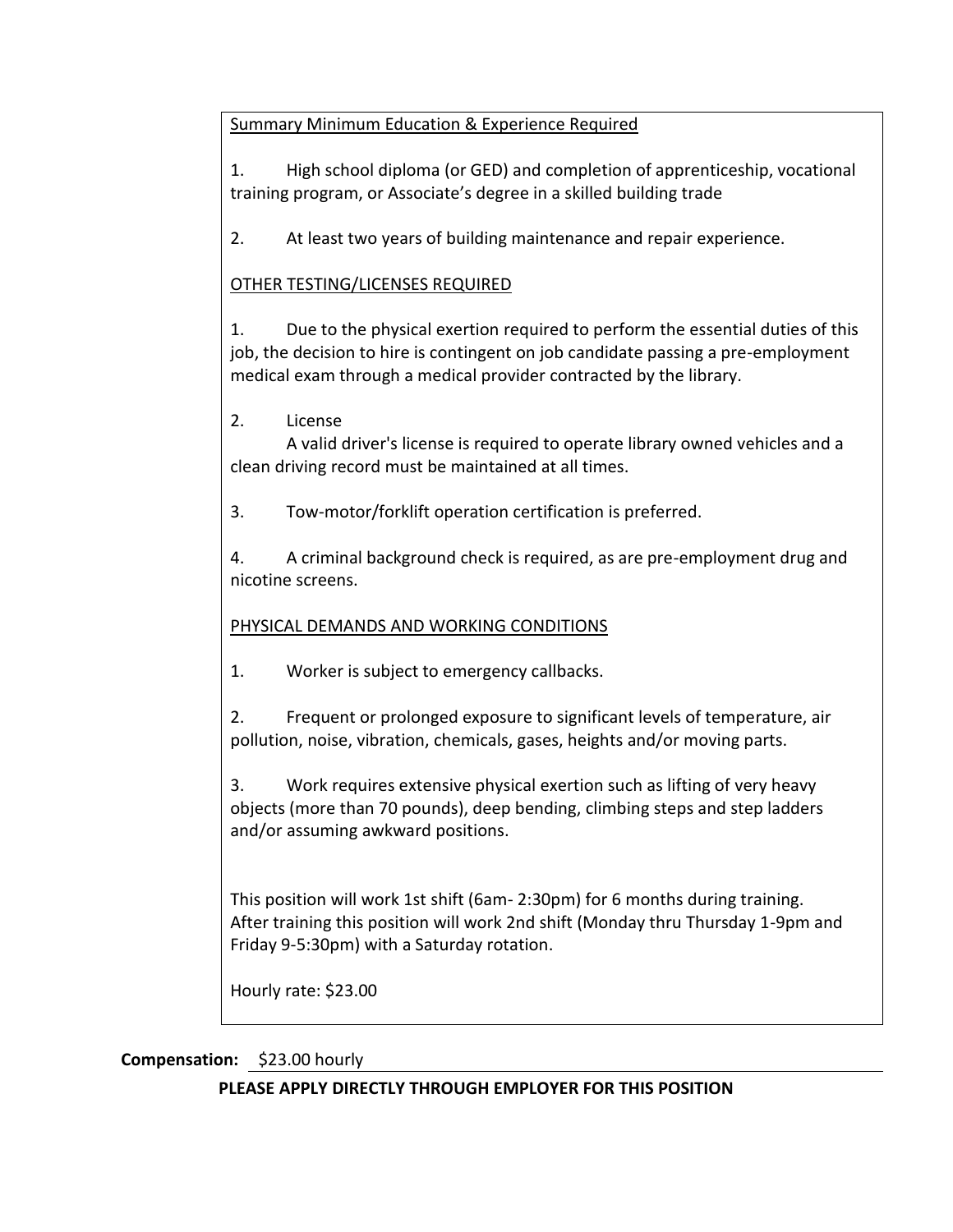Summary Minimum Education & Experience Required

1. High school diploma (or GED) and completion of apprenticeship, vocational training program, or Associate's degree in a skilled building trade

2. At least two years of building maintenance and repair experience.

### OTHER TESTING/LICENSES REQUIRED

1. Due to the physical exertion required to perform the essential duties of this job, the decision to hire is contingent on job candidate passing a pre-employment medical exam through a medical provider contracted by the library.

2. License

A valid driver's license is required to operate library owned vehicles and a clean driving record must be maintained at all times.

3. Tow-motor/forklift operation certification is preferred.

4. A criminal background check is required, as are pre-employment drug and nicotine screens.

### PHYSICAL DEMANDS AND WORKING CONDITIONS

1. Worker is subject to emergency callbacks.

2. Frequent or prolonged exposure to significant levels of temperature, air pollution, noise, vibration, chemicals, gases, heights and/or moving parts.

3. Work requires extensive physical exertion such as lifting of very heavy objects (more than 70 pounds), deep bending, climbing steps and step ladders and/or assuming awkward positions.

This position will work 1st shift (6am- 2:30pm) for 6 months during training. After training this position will work 2nd shift (Monday thru Thursday 1-9pm and Friday 9-5:30pm) with a Saturday rotation.

Hourly rate: \$23.00

#### **Compensation:** \$23.00 hourly